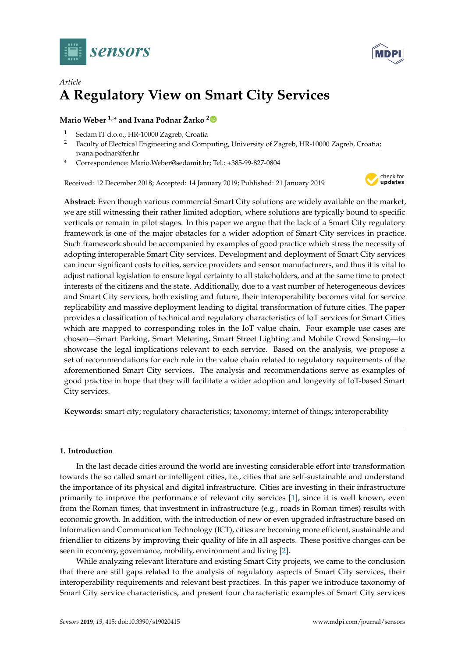



# *Article* **A Regulatory View on Smart City Services**

# **Mario Weber 1,\* and Ivana Podnar Žarko [2](https://orcid.org/0000-0001-5619-2142)**

- <sup>1</sup> Sedam IT d.o.o., HR-10000 Zagreb, Croatia<br><sup>2</sup> Easylty of Electrical Engineering and Com-
- <sup>2</sup> Faculty of Electrical Engineering and Computing, University of Zagreb, HR-10000 Zagreb, Croatia; ivana.podnar@fer.hr
- **\*** Correspondence: Mario.Weber@sedamit.hr; Tel.: +385-99-827-0804

Received: 12 December 2018; Accepted: 14 January 2019; Published: 21 January 2019



**Abstract:** Even though various commercial Smart City solutions are widely available on the market, we are still witnessing their rather limited adoption, where solutions are typically bound to specific verticals or remain in pilot stages. In this paper we argue that the lack of a Smart City regulatory framework is one of the major obstacles for a wider adoption of Smart City services in practice. Such framework should be accompanied by examples of good practice which stress the necessity of adopting interoperable Smart City services. Development and deployment of Smart City services can incur significant costs to cities, service providers and sensor manufacturers, and thus it is vital to adjust national legislation to ensure legal certainty to all stakeholders, and at the same time to protect interests of the citizens and the state. Additionally, due to a vast number of heterogeneous devices and Smart City services, both existing and future, their interoperability becomes vital for service replicability and massive deployment leading to digital transformation of future cities. The paper provides a classification of technical and regulatory characteristics of IoT services for Smart Cities which are mapped to corresponding roles in the IoT value chain. Four example use cases are chosen—Smart Parking, Smart Metering, Smart Street Lighting and Mobile Crowd Sensing—to showcase the legal implications relevant to each service. Based on the analysis, we propose a set of recommendations for each role in the value chain related to regulatory requirements of the aforementioned Smart City services. The analysis and recommendations serve as examples of good practice in hope that they will facilitate a wider adoption and longevity of IoT-based Smart City services.

**Keywords:** smart city; regulatory characteristics; taxonomy; internet of things; interoperability

## **1. Introduction**

In the last decade cities around the world are investing considerable effort into transformation towards the so called smart or intelligent cities, i.e., cities that are self-sustainable and understand the importance of its physical and digital infrastructure. Cities are investing in their infrastructure primarily to improve the performance of relevant city services [\[1\]](#page-15-0), since it is well known, even from the Roman times, that investment in infrastructure (e.g., roads in Roman times) results with economic growth. In addition, with the introduction of new or even upgraded infrastructure based on Information and Communication Technology (ICT), cities are becoming more efficient, sustainable and friendlier to citizens by improving their quality of life in all aspects. These positive changes can be seen in economy, governance, mobility, environment and living [\[2\]](#page-15-1).

While analyzing relevant literature and existing Smart City projects, we came to the conclusion that there are still gaps related to the analysis of regulatory aspects of Smart City services, their interoperability requirements and relevant best practices. In this paper we introduce taxonomy of Smart City service characteristics, and present four characteristic examples of Smart City services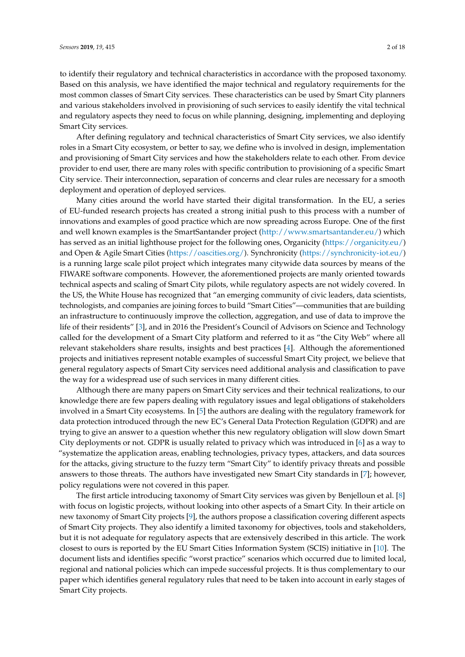to identify their regulatory and technical characteristics in accordance with the proposed taxonomy. Based on this analysis, we have identified the major technical and regulatory requirements for the most common classes of Smart City services. These characteristics can be used by Smart City planners and various stakeholders involved in provisioning of such services to easily identify the vital technical and regulatory aspects they need to focus on while planning, designing, implementing and deploying Smart City services.

After defining regulatory and technical characteristics of Smart City services, we also identify roles in a Smart City ecosystem, or better to say, we define who is involved in design, implementation and provisioning of Smart City services and how the stakeholders relate to each other. From device provider to end user, there are many roles with specific contribution to provisioning of a specific Smart City service. Their interconnection, separation of concerns and clear rules are necessary for a smooth deployment and operation of deployed services.

Many cities around the world have started their digital transformation. In the EU, a series of EU-funded research projects has created a strong initial push to this process with a number of innovations and examples of good practice which are now spreading across Europe. One of the first and well known examples is the SmartSantander project [\(http://www.smartsantander.eu/\)](http://www.smartsantander.eu/) which has served as an initial lighthouse project for the following ones, Organicity [\(https://organicity.eu/\)](https://organicity.eu/) and Open & Agile Smart Cities [\(https://oascities.org/\)](https://oascities.org/). Synchronicity [\(https://synchronicity-iot.eu/\)](https://synchronicity-iot.eu/) is a running large scale pilot project which integrates many citywide data sources by means of the FIWARE software components. However, the aforementioned projects are manly oriented towards technical aspects and scaling of Smart City pilots, while regulatory aspects are not widely covered. In the US, the White House has recognized that "an emerging community of civic leaders, data scientists, technologists, and companies are joining forces to build "Smart Cities"—communities that are building an infrastructure to continuously improve the collection, aggregation, and use of data to improve the life of their residents" [\[3\]](#page-15-2), and in 2016 the President's Council of Advisors on Science and Technology called for the development of a Smart City platform and referred to it as "the City Web" where all relevant stakeholders share results, insights and best practices [\[4\]](#page-15-3). Although the aforementioned projects and initiatives represent notable examples of successful Smart City project, we believe that general regulatory aspects of Smart City services need additional analysis and classification to pave the way for a widespread use of such services in many different cities.

Although there are many papers on Smart City services and their technical realizations, to our knowledge there are few papers dealing with regulatory issues and legal obligations of stakeholders involved in a Smart City ecosystems. In [\[5\]](#page-15-4) the authors are dealing with the regulatory framework for data protection introduced through the new EC's General Data Protection Regulation (GDPR) and are trying to give an answer to a question whether this new regulatory obligation will slow down Smart City deployments or not. GDPR is usually related to privacy which was introduced in [\[6\]](#page-16-0) as a way to "systematize the application areas, enabling technologies, privacy types, attackers, and data sources for the attacks, giving structure to the fuzzy term "Smart City" to identify privacy threats and possible answers to those threats. The authors have investigated new Smart City standards in [\[7\]](#page-16-1); however, policy regulations were not covered in this paper.

The first article introducing taxonomy of Smart City services was given by Benjelloun et al. [\[8\]](#page-16-2) with focus on logistic projects, without looking into other aspects of a Smart City. In their article on new taxonomy of Smart City projects [\[9\]](#page-16-3), the authors propose a classification covering different aspects of Smart City projects. They also identify a limited taxonomy for objectives, tools and stakeholders, but it is not adequate for regulatory aspects that are extensively described in this article. The work closest to ours is reported by the EU Smart Cities Information System (SCIS) initiative in [\[10\]](#page-16-4). The document lists and identifies specific "worst practice" scenarios which occurred due to limited local, regional and national policies which can impede successful projects. It is thus complementary to our paper which identifies general regulatory rules that need to be taken into account in early stages of Smart City projects.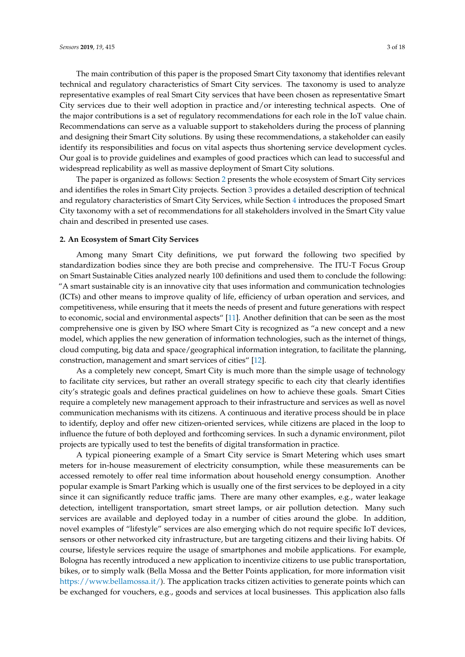The main contribution of this paper is the proposed Smart City taxonomy that identifies relevant technical and regulatory characteristics of Smart City services. The taxonomy is used to analyze representative examples of real Smart City services that have been chosen as representative Smart City services due to their well adoption in practice and/or interesting technical aspects. One of the major contributions is a set of regulatory recommendations for each role in the IoT value chain. Recommendations can serve as a valuable support to stakeholders during the process of planning and designing their Smart City solutions. By using these recommendations, a stakeholder can easily identify its responsibilities and focus on vital aspects thus shortening service development cycles. Our goal is to provide guidelines and examples of good practices which can lead to successful and widespread replicability as well as massive deployment of Smart City solutions.

The paper is organized as follows: Section [2](#page-2-0) presents the whole ecosystem of Smart City services and identifies the roles in Smart City projects. Section [3](#page-6-0) provides a detailed description of technical and regulatory characteristics of Smart City Services, while Section [4](#page-10-0) introduces the proposed Smart City taxonomy with a set of recommendations for all stakeholders involved in the Smart City value chain and described in presented use cases.

#### <span id="page-2-0"></span>**2. An Ecosystem of Smart City Services**

Among many Smart City definitions, we put forward the following two specified by standardization bodies since they are both precise and comprehensive. The ITU-T Focus Group on Smart Sustainable Cities analyzed nearly 100 definitions and used them to conclude the following: "A smart sustainable city is an innovative city that uses information and communication technologies (ICTs) and other means to improve quality of life, efficiency of urban operation and services, and competitiveness, while ensuring that it meets the needs of present and future generations with respect to economic, social and environmental aspects" [\[11\]](#page-16-5). Another definition that can be seen as the most comprehensive one is given by ISO where Smart City is recognized as "a new concept and a new model, which applies the new generation of information technologies, such as the internet of things, cloud computing, big data and space/geographical information integration, to facilitate the planning, construction, management and smart services of cities" [\[12\]](#page-16-6).

As a completely new concept, Smart City is much more than the simple usage of technology to facilitate city services, but rather an overall strategy specific to each city that clearly identifies city's strategic goals and defines practical guidelines on how to achieve these goals. Smart Cities require a completely new management approach to their infrastructure and services as well as novel communication mechanisms with its citizens. A continuous and iterative process should be in place to identify, deploy and offer new citizen-oriented services, while citizens are placed in the loop to influence the future of both deployed and forthcoming services. In such a dynamic environment, pilot projects are typically used to test the benefits of digital transformation in practice.

A typical pioneering example of a Smart City service is Smart Metering which uses smart meters for in-house measurement of electricity consumption, while these measurements can be accessed remotely to offer real time information about household energy consumption. Another popular example is Smart Parking which is usually one of the first services to be deployed in a city since it can significantly reduce traffic jams. There are many other examples, e.g., water leakage detection, intelligent transportation, smart street lamps, or air pollution detection. Many such services are available and deployed today in a number of cities around the globe. In addition, novel examples of "lifestyle" services are also emerging which do not require specific IoT devices, sensors or other networked city infrastructure, but are targeting citizens and their living habits. Of course, lifestyle services require the usage of smartphones and mobile applications. For example, Bologna has recently introduced a new application to incentivize citizens to use public transportation, bikes, or to simply walk (Bella Mossa and the Better Points application, for more information visit [https://www.bellamossa.it/\)](https://www.bellamossa.it/). The application tracks citizen activities to generate points which can be exchanged for vouchers, e.g., goods and services at local businesses. This application also falls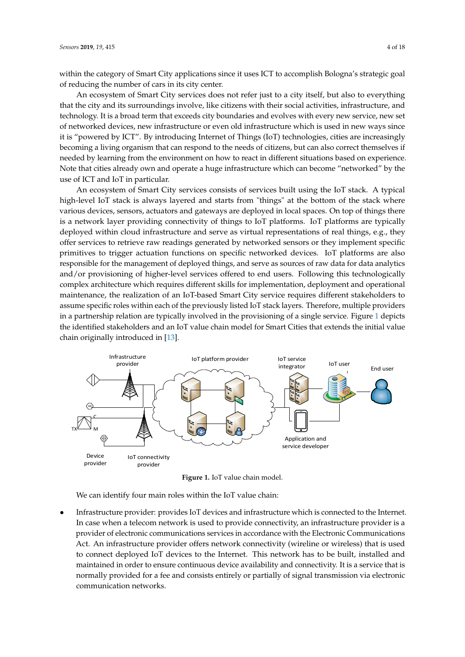within the category of Smart City applications since it uses ICT to accomplish Bologna's strategic goal of reducing the number of cars in its city center.

An ecosystem of Smart City services does not refer just to a city itself, but also to everything that the city and its surroundings involve, like citizens with their social activities, infrastructure, and technology. It is a broad term that exceeds city boundaries and evolves with every new service, new set of networked devices, new infrastructure or even old infrastructure which is used in new ways since it is "powered by ICT". By introducing Internet of Things (IoT) technologies, cities are increasingly *Sensors* **2018**, *18*, x FOR PEER REVIEW 4 of 18 becoming a living organism that can respond to the needs of citizens, but can also correct themselves if needed by learning from the environment on how to react in different situations based on experience. Note that cities already own and operate a huge infrastructure which can become "networked" by the use of ICT and IoT in particular.

An ecosystem of Smart City services consists of services built using the IoT stack. A typical high-level IoT stack is always layered and starts from "things" at the bottom of the stack where various devices, sensors, actuators and gateways are deployed in local spaces. On top of things there various devices, sensors, actuators and gateways are deployed in local spaces. On top of things there is a network layer providing connectivity of things to  $I$ o $T$  platforms.  $I$ o $T$  platforms are typically deployed within cloud infrastructure and serve as virtual representations of real things, e.g., they offer services to retrieve raw readings generated by networked sensors or they implement specific primitives to trigger actuation functions on specific networked devices. IoT platforms are also responsible for the management of deployed things, and serve as sources of raw data for data analytics and/or provisioning of higher-level services offered to end users. Following this technologically complex architecture which requires different skills for implementation, deployment and operational maintenance, the realization of an IoT-based Smart City service requires different stakeholders to assume specific roles within each of the previously listed IoT stack layers. Therefore, multiple providers assume specific roles within each of the previously listed IoT such layers. Therefore, multiple previously in a partnership relation are typically involved in the provisioning of a single service. Figure [1](#page-3-0) depicts the identified stakeholders and an IoT value chain model for Smart Cities that extends the initial value chain originally introduced in [\[13\]](#page-16-7).  $\hspace{0.5cm}$ hous acvices, schools, actuators and gateways are deproyed in total spaces. On top or things a partnership relation are typically involved in the provisioning of a single service. Tigate 1 c

<span id="page-3-0"></span>

**Figure 1.** IoT value chain model. **Figure 1.** IoT value chain model.

We can identify four main roles within the IoT value chain: We can identify four main roles within the IoT value chain:

• Infrastructure provider: provides IoT devices and infrastructure which is connected to • Infrastructure provider: provides IoT devices and infrastructure which is connected to the Internet. In case when a telecom network is used to provide connectivity, an infrastructure provider is a provider of electronic communications services in accordance with the Electronic Communications Act. An infrastructure provider offers network connectivity (wireline or wireless) that is used to connect deployed IoT devices to the Internet. This network has to be built, installed and maintained in order to ensure continuous device availability and connectivity. It is a service that is normally provided for a fee and consists entirely or partially of signal transmission via electronic communication networks. communication networks. $\mathbf{r}_1$  is the platform provider: offers an IoT platform and system functions that deliver easy  $\mathbf{r}_2$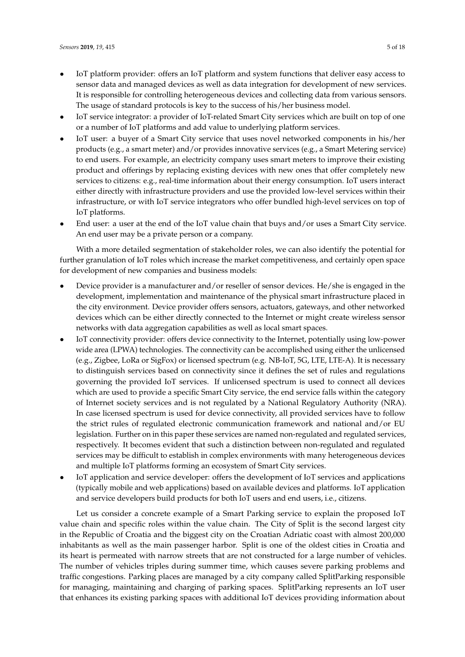- IoT platform provider: offers an IoT platform and system functions that deliver easy access to sensor data and managed devices as well as data integration for development of new services. It is responsible for controlling heterogeneous devices and collecting data from various sensors. The usage of standard protocols is key to the success of his/her business model.
- IoT service integrator: a provider of IoT-related Smart City services which are built on top of one or a number of IoT platforms and add value to underlying platform services.
- IoT user: a buyer of a Smart City service that uses novel networked components in his/her products (e.g., a smart meter) and/or provides innovative services (e.g., a Smart Metering service) to end users. For example, an electricity company uses smart meters to improve their existing product and offerings by replacing existing devices with new ones that offer completely new services to citizens: e.g., real-time information about their energy consumption. IoT users interact either directly with infrastructure providers and use the provided low-level services within their infrastructure, or with IoT service integrators who offer bundled high-level services on top of IoT platforms.
- End user: a user at the end of the IoT value chain that buys and/or uses a Smart City service. An end user may be a private person or a company.

With a more detailed segmentation of stakeholder roles, we can also identify the potential for further granulation of IoT roles which increase the market competitiveness, and certainly open space for development of new companies and business models:

- Device provider is a manufacturer and/or reseller of sensor devices. He/she is engaged in the development, implementation and maintenance of the physical smart infrastructure placed in the city environment. Device provider offers sensors, actuators, gateways, and other networked devices which can be either directly connected to the Internet or might create wireless sensor networks with data aggregation capabilities as well as local smart spaces.
- IoT connectivity provider: offers device connectivity to the Internet, potentially using low-power wide area (LPWA) technologies. The connectivity can be accomplished using either the unlicensed (e.g., Zigbee, LoRa or SigFox) or licensed spectrum (e.g. NB-IoT, 5G, LTE, LTE-A). It is necessary to distinguish services based on connectivity since it defines the set of rules and regulations governing the provided IoT services. If unlicensed spectrum is used to connect all devices which are used to provide a specific Smart City service, the end service falls within the category of Internet society services and is not regulated by a National Regulatory Authority (NRA). In case licensed spectrum is used for device connectivity, all provided services have to follow the strict rules of regulated electronic communication framework and national and/or EU legislation. Further on in this paper these services are named non-regulated and regulated services, respectively. It becomes evident that such a distinction between non-regulated and regulated services may be difficult to establish in complex environments with many heterogeneous devices and multiple IoT platforms forming an ecosystem of Smart City services.
- IoT application and service developer: offers the development of IoT services and applications (typically mobile and web applications) based on available devices and platforms. IoT application and service developers build products for both IoT users and end users, i.e., citizens.

Let us consider a concrete example of a Smart Parking service to explain the proposed IoT value chain and specific roles within the value chain. The City of Split is the second largest city in the Republic of Croatia and the biggest city on the Croatian Adriatic coast with almost 200,000 inhabitants as well as the main passenger harbor. Split is one of the oldest cities in Croatia and its heart is permeated with narrow streets that are not constructed for a large number of vehicles. The number of vehicles triples during summer time, which causes severe parking problems and traffic congestions. Parking places are managed by a city company called SplitParking responsible for managing, maintaining and charging of parking spaces. SplitParking represents an IoT user that enhances its existing parking spaces with additional IoT devices providing information about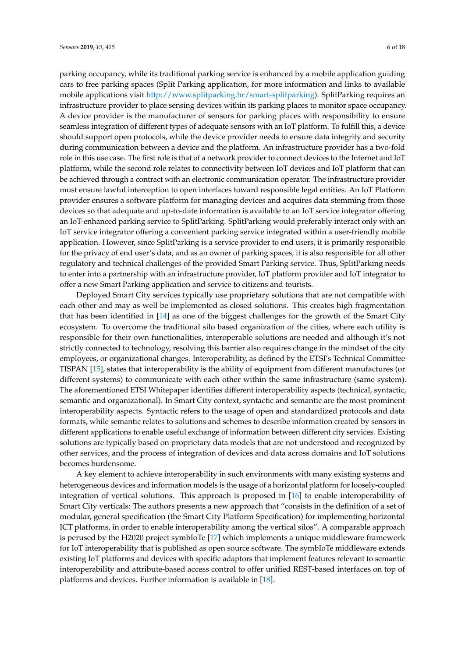parking occupancy, while its traditional parking service is enhanced by a mobile application guiding cars to free parking spaces (Split Parking application, for more information and links to available mobile applications visit [http://www.splitparking.hr/smart-splitparking\)](http://www.splitparking.hr/smart-splitparking). SplitParking requires an infrastructure provider to place sensing devices within its parking places to monitor space occupancy. A device provider is the manufacturer of sensors for parking places with responsibility to ensure seamless integration of different types of adequate sensors with an IoT platform. To fulfill this, a device should support open protocols, while the device provider needs to ensure data integrity and security during communication between a device and the platform. An infrastructure provider has a two-fold role in this use case. The first role is that of a network provider to connect devices to the Internet and IoT platform, while the second role relates to connectivity between IoT devices and IoT platform that can be achieved through a contract with an electronic communication operator. The infrastructure provider must ensure lawful interception to open interfaces toward responsible legal entities. An IoT Platform provider ensures a software platform for managing devices and acquires data stemming from those devices so that adequate and up-to-date information is available to an IoT service integrator offering an IoT-enhanced parking service to SplitParking. SplitParking would preferably interact only with an IoT service integrator offering a convenient parking service integrated within a user-friendly mobile application. However, since SplitParking is a service provider to end users, it is primarily responsible for the privacy of end user's data, and as an owner of parking spaces, it is also responsible for all other regulatory and technical challenges of the provided Smart Parking service. Thus, SplitParking needs to enter into a partnership with an infrastructure provider, IoT platform provider and IoT integrator to offer a new Smart Parking application and service to citizens and tourists.

Deployed Smart City services typically use proprietary solutions that are not compatible with each other and may as well be implemented as closed solutions. This creates high fragmentation that has been identified in [\[14\]](#page-16-8) as one of the biggest challenges for the growth of the Smart City ecosystem. To overcome the traditional silo based organization of the cities, where each utility is responsible for their own functionalities, interoperable solutions are needed and although it's not strictly connected to technology, resolving this barrier also requires change in the mindset of the city employees, or organizational changes. Interoperability, as defined by the ETSI's Technical Committee TISPAN [\[15\]](#page-16-9), states that interoperability is the ability of equipment from different manufactures (or different systems) to communicate with each other within the same infrastructure (same system). The aforementioned ETSI Whitepaper identifies different interoperability aspects (technical, syntactic, semantic and organizational). In Smart City context, syntactic and semantic are the most prominent interoperability aspects. Syntactic refers to the usage of open and standardized protocols and data formats, while semantic relates to solutions and schemes to describe information created by sensors in different applications to enable useful exchange of information between different city services. Existing solutions are typically based on proprietary data models that are not understood and recognized by other services, and the process of integration of devices and data across domains and IoT solutions becomes burdensome.

A key element to achieve interoperability in such environments with many existing systems and heterogeneous devices and information models is the usage of a horizontal platform for loosely-coupled integration of vertical solutions. This approach is proposed in [\[16\]](#page-16-10) to enable interoperability of Smart City verticals: The authors presents a new approach that "consists in the definition of a set of modular, general specification (the Smart City Platform Specification) for implementing horizontal ICT platforms, in order to enable interoperability among the vertical silos". A comparable approach is perused by the H2020 project symbIoTe [\[17\]](#page-16-11) which implements a unique middleware framework for IoT interoperability that is published as open source software. The symbIoTe middleware extends existing IoT platforms and devices with specific adaptors that implement features relevant to semantic interoperability and attribute-based access control to offer unified REST-based interfaces on top of platforms and devices. Further information is available in [\[18\]](#page-16-12).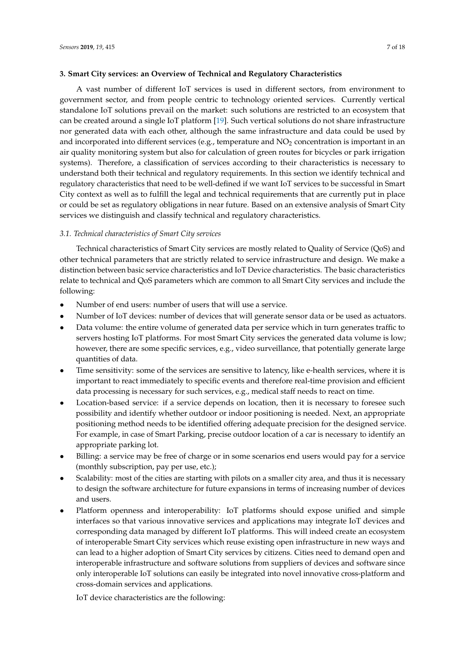<span id="page-6-0"></span>A vast number of different IoT services is used in different sectors, from environment to government sector, and from people centric to technology oriented services. Currently vertical standalone IoT solutions prevail on the market: such solutions are restricted to an ecosystem that can be created around a single IoT platform [\[19\]](#page-16-13). Such vertical solutions do not share infrastructure nor generated data with each other, although the same infrastructure and data could be used by and incorporated into different services (e.g., temperature and  $NO<sub>2</sub>$  concentration is important in an air quality monitoring system but also for calculation of green routes for bicycles or park irrigation systems). Therefore, a classification of services according to their characteristics is necessary to understand both their technical and regulatory requirements. In this section we identify technical and regulatory characteristics that need to be well-defined if we want IoT services to be successful in Smart City context as well as to fulfill the legal and technical requirements that are currently put in place or could be set as regulatory obligations in near future. Based on an extensive analysis of Smart City services we distinguish and classify technical and regulatory characteristics.

### *3.1. Technical characteristics of Smart City services*

Technical characteristics of Smart City services are mostly related to Quality of Service (QoS) and other technical parameters that are strictly related to service infrastructure and design. We make a distinction between basic service characteristics and IoT Device characteristics. The basic characteristics relate to technical and QoS parameters which are common to all Smart City services and include the following:

- Number of end users: number of users that will use a service.
- Number of IoT devices: number of devices that will generate sensor data or be used as actuators.
- Data volume: the entire volume of generated data per service which in turn generates traffic to servers hosting IoT platforms. For most Smart City services the generated data volume is low; however, there are some specific services, e.g., video surveillance, that potentially generate large quantities of data.
- Time sensitivity: some of the services are sensitive to latency, like e-health services, where it is important to react immediately to specific events and therefore real-time provision and efficient data processing is necessary for such services, e.g., medical staff needs to react on time.
- Location-based service: if a service depends on location, then it is necessary to foresee such possibility and identify whether outdoor or indoor positioning is needed. Next, an appropriate positioning method needs to be identified offering adequate precision for the designed service. For example, in case of Smart Parking, precise outdoor location of a car is necessary to identify an appropriate parking lot.
- Billing: a service may be free of charge or in some scenarios end users would pay for a service (monthly subscription, pay per use, etc.);
- Scalability: most of the cities are starting with pilots on a smaller city area, and thus it is necessary to design the software architecture for future expansions in terms of increasing number of devices and users.
- Platform openness and interoperability: IoT platforms should expose unified and simple interfaces so that various innovative services and applications may integrate IoT devices and corresponding data managed by different IoT platforms. This will indeed create an ecosystem of interoperable Smart City services which reuse existing open infrastructure in new ways and can lead to a higher adoption of Smart City services by citizens. Cities need to demand open and interoperable infrastructure and software solutions from suppliers of devices and software since only interoperable IoT solutions can easily be integrated into novel innovative cross-platform and cross-domain services and applications.

IoT device characteristics are the following: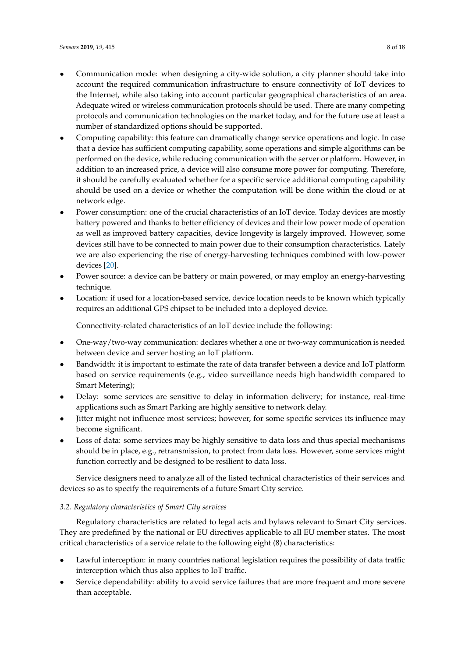- Communication mode: when designing a city-wide solution, a city planner should take into account the required communication infrastructure to ensure connectivity of IoT devices to the Internet, while also taking into account particular geographical characteristics of an area. Adequate wired or wireless communication protocols should be used. There are many competing protocols and communication technologies on the market today, and for the future use at least a number of standardized options should be supported.
- Computing capability: this feature can dramatically change service operations and logic. In case that a device has sufficient computing capability, some operations and simple algorithms can be performed on the device, while reducing communication with the server or platform. However, in addition to an increased price, a device will also consume more power for computing. Therefore, it should be carefully evaluated whether for a specific service additional computing capability should be used on a device or whether the computation will be done within the cloud or at network edge.
- Power consumption: one of the crucial characteristics of an IoT device. Today devices are mostly battery powered and thanks to better efficiency of devices and their low power mode of operation as well as improved battery capacities, device longevity is largely improved. However, some devices still have to be connected to main power due to their consumption characteristics. Lately we are also experiencing the rise of energy-harvesting techniques combined with low-power devices [\[20\]](#page-16-14).
- Power source: a device can be battery or main powered, or may employ an energy-harvesting technique.
- Location: if used for a location-based service, device location needs to be known which typically requires an additional GPS chipset to be included into a deployed device.

Connectivity-related characteristics of an IoT device include the following:

- One-way/two-way communication: declares whether a one or two-way communication is needed between device and server hosting an IoT platform.
- Bandwidth: it is important to estimate the rate of data transfer between a device and IoT platform based on service requirements (e.g., video surveillance needs high bandwidth compared to Smart Metering);
- Delay: some services are sensitive to delay in information delivery; for instance, real-time applications such as Smart Parking are highly sensitive to network delay.
- Jitter might not influence most services; however, for some specific services its influence may become significant.
- Loss of data: some services may be highly sensitive to data loss and thus special mechanisms should be in place, e.g., retransmission, to protect from data loss. However, some services might function correctly and be designed to be resilient to data loss.

Service designers need to analyze all of the listed technical characteristics of their services and devices so as to specify the requirements of a future Smart City service.

## *3.2. Regulatory characteristics of Smart City services*

Regulatory characteristics are related to legal acts and bylaws relevant to Smart City services. They are predefined by the national or EU directives applicable to all EU member states. The most critical characteristics of a service relate to the following eight (8) characteristics:

- Lawful interception: in many countries national legislation requires the possibility of data traffic interception which thus also applies to IoT traffic.
- Service dependability: ability to avoid service failures that are more frequent and more severe than acceptable.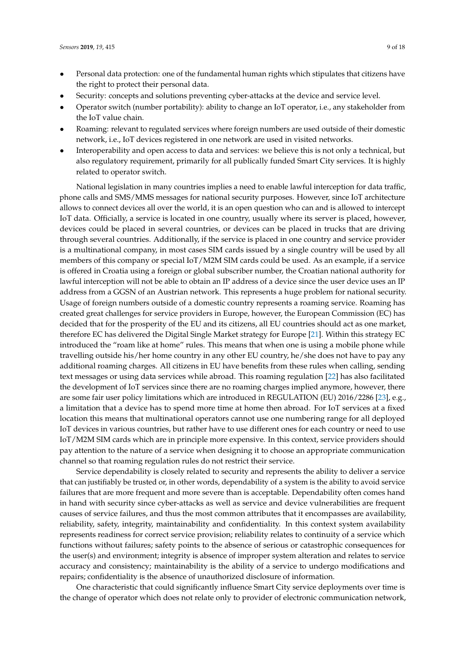- Personal data protection: one of the fundamental human rights which stipulates that citizens have the right to protect their personal data.
- Security: concepts and solutions preventing cyber-attacks at the device and service level.
- Operator switch (number portability): ability to change an IoT operator, i.e., any stakeholder from the IoT value chain.
- Roaming: relevant to regulated services where foreign numbers are used outside of their domestic network, i.e., IoT devices registered in one network are used in visited networks.
- Interoperability and open access to data and services: we believe this is not only a technical, but also regulatory requirement, primarily for all publically funded Smart City services. It is highly related to operator switch.

National legislation in many countries implies a need to enable lawful interception for data traffic, phone calls and SMS/MMS messages for national security purposes. However, since IoT architecture allows to connect devices all over the world, it is an open question who can and is allowed to intercept IoT data. Officially, a service is located in one country, usually where its server is placed, however, devices could be placed in several countries, or devices can be placed in trucks that are driving through several countries. Additionally, if the service is placed in one country and service provider is a multinational company, in most cases SIM cards issued by a single country will be used by all members of this company or special IoT/M2M SIM cards could be used. As an example, if a service is offered in Croatia using a foreign or global subscriber number, the Croatian national authority for lawful interception will not be able to obtain an IP address of a device since the user device uses an IP address from a GGSN of an Austrian network. This represents a huge problem for national security. Usage of foreign numbers outside of a domestic country represents a roaming service. Roaming has created great challenges for service providers in Europe, however, the European Commission (EC) has decided that for the prosperity of the EU and its citizens, all EU countries should act as one market, therefore EC has delivered the Digital Single Market strategy for Europe [\[21\]](#page-16-15). Within this strategy EC introduced the "roam like at home" rules. This means that when one is using a mobile phone while travelling outside his/her home country in any other EU country, he/she does not have to pay any additional roaming charges. All citizens in EU have benefits from these rules when calling, sending text messages or using data services while abroad. This roaming regulation [\[22\]](#page-16-16) has also facilitated the development of IoT services since there are no roaming charges implied anymore, however, there are some fair user policy limitations which are introduced in REGULATION (EU) 2016/2286 [\[23\]](#page-16-17), e.g., a limitation that a device has to spend more time at home then abroad. For IoT services at a fixed location this means that multinational operators cannot use one numbering range for all deployed IoT devices in various countries, but rather have to use different ones for each country or need to use IoT/M2M SIM cards which are in principle more expensive. In this context, service providers should pay attention to the nature of a service when designing it to choose an appropriate communication channel so that roaming regulation rules do not restrict their service.

Service dependability is closely related to security and represents the ability to deliver a service that can justifiably be trusted or, in other words, dependability of a system is the ability to avoid service failures that are more frequent and more severe than is acceptable. Dependability often comes hand in hand with security since cyber-attacks as well as service and device vulnerabilities are frequent causes of service failures, and thus the most common attributes that it encompasses are availability, reliability, safety, integrity, maintainability and confidentiality. In this context system availability represents readiness for correct service provision; reliability relates to continuity of a service which functions without failures; safety points to the absence of serious or catastrophic consequences for the user(s) and environment; integrity is absence of improper system alteration and relates to service accuracy and consistency; maintainability is the ability of a service to undergo modifications and repairs; confidentiality is the absence of unauthorized disclosure of information.

One characteristic that could significantly influence Smart City service deployments over time is the change of operator which does not relate only to provider of electronic communication network,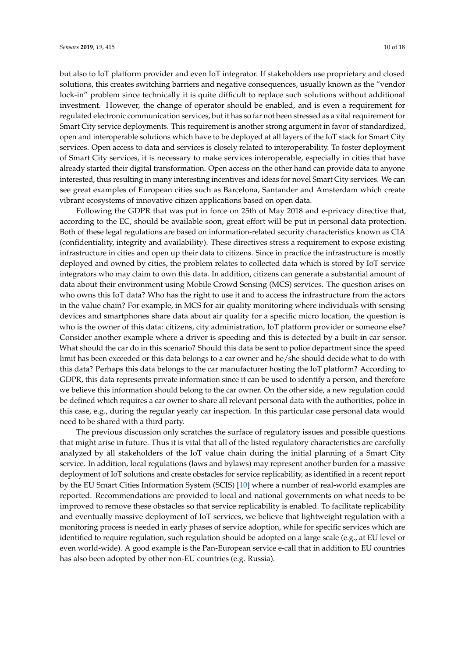but also to IoT platform provider and even IoT integrator. If stakeholders use proprietary and closed solutions, this creates switching barriers and negative consequences, usually known as the "vendor lock-in" problem since technically it is quite difficult to replace such solutions without additional investment. However, the change of operator should be enabled, and is even a requirement for regulated electronic communication services, but it has so far not been stressed as a vital requirement for Smart City service deployments. This requirement is another strong argument in favor of standardized, open and interoperable solutions which have to be deployed at all layers of the IoT stack for Smart City services. Open access to data and services is closely related to interoperability. To foster deployment of Smart City services, it is necessary to make services interoperable, especially in cities that have already started their digital transformation. Open access on the other hand can provide data to anyone interested, thus resulting in many interesting incentives and ideas for novel Smart City services. We can see great examples of European cities such as Barcelona, Santander and Amsterdam which create vibrant ecosystems of innovative citizen applications based on open data.

Following the GDPR that was put in force on 25th of May 2018 and e-privacy directive that, according to the EC, should be available soon, great effort will be put in personal data protection. Both of these legal regulations are based on information-related security characteristics known as CIA (confidentiality, integrity and availability). These directives stress a requirement to expose existing infrastructure in cities and open up their data to citizens. Since in practice the infrastructure is mostly deployed and owned by cities, the problem relates to collected data which is stored by IoT service integrators who may claim to own this data. In addition, citizens can generate a substantial amount of data about their environment using Mobile Crowd Sensing (MCS) services. The question arises on who owns this IoT data? Who has the right to use it and to access the infrastructure from the actors in the value chain? For example, in MCS for air quality monitoring where individuals with sensing devices and smartphones share data about air quality for a specific micro location, the question is who is the owner of this data: citizens, city administration, IoT platform provider or someone else? Consider another example where a driver is speeding and this is detected by a built-in car sensor. What should the car do in this scenario? Should this data be sent to police department since the speed limit has been exceeded or this data belongs to a car owner and he/she should decide what to do with this data? Perhaps this data belongs to the car manufacturer hosting the IoT platform? According to GDPR, this data represents private information since it can be used to identify a person, and therefore we believe this information should belong to the car owner. On the other side, a new regulation could be defined which requires a car owner to share all relevant personal data with the authorities, police in this case, e.g., during the regular yearly car inspection. In this particular case personal data would need to be shared with a third party.

The previous discussion only scratches the surface of regulatory issues and possible questions that might arise in future. Thus it is vital that all of the listed regulatory characteristics are carefully analyzed by all stakeholders of the IoT value chain during the initial planning of a Smart City service. In addition, local regulations (laws and bylaws) may represent another burden for a massive deployment of IoT solutions and create obstacles for service replicability, as identified in a recent report by the EU Smart Cities Information System (SCIS) [\[10\]](#page-16-4) where a number of real-world examples are reported. Recommendations are provided to local and national governments on what needs to be improved to remove these obstacles so that service replicability is enabled. To facilitate replicability and eventually massive deployment of IoT services, we believe that lightweight regulation with a monitoring process is needed in early phases of service adoption, while for specific services which are identified to require regulation, such regulation should be adopted on a large scale (e.g., at EU level or even world-wide). A good example is the Pan-European service e-call that in addition to EU countries has also been adopted by other non-EU countries (e.g. Russia).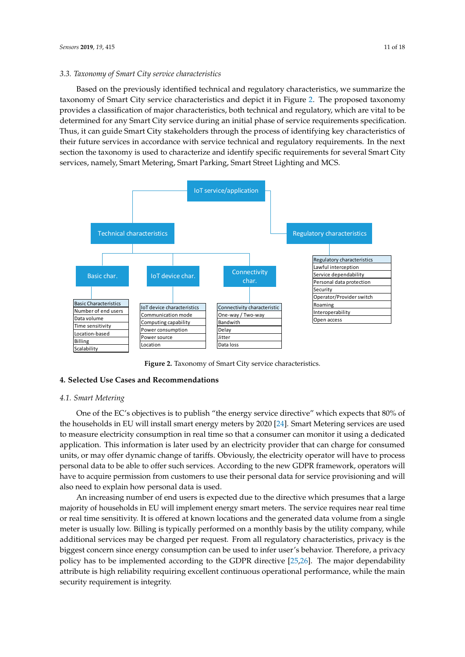### *3.3. Taxonomy of Smart City service characteristics*

Based on the previously identified technical and regulatory characteristics, we summarize the taxonomy of Smart City service characteristics and depict it in Figure [2.](#page-10-1) The proposed taxonomy provides a classification of major characteristics, both technical and regulatory, which are vital to be determined for any Smart City service during an initial phase of service requirements specification. Thus, it can guide Smart City stakeholders through the process of identifying key characteristics of their future services in accordance with service technical and regulatory requirements. In the next section the taxonomy is used to characterize and identify specific requirements for several Smart City services, namely, Smart Metering, Smart Parking, Smart Street Lighting and MCS. *Sensors* **2018**, *18*, x FOR PEER REVIEW 11 of 18

<span id="page-10-1"></span>

**Figure 3.** Taxonomy of Smart City service characteristics. **Figure 2.** Taxonomy of Smart City service characteristics.

# <span id="page-10-0"></span>**4. Selected Use Cases and Recommendations 4. Selected Use Cases and Recommendations**

# *4.1. Smart Metering 4.1. Smart Metering*

One of the EC's objectives is to publish "the energy service directive" which expects that 80% of  $\frac{1}{100}$ the households in EU will install smart energy meters by 2020 [24]. Smart Metering services are used the households in EU will install smart energy meters by 2020 [\[24\]](#page-16-18). Smart Metering services are used to measure electricity consumption in real time so that a consumer can monitor it using a dedicated time in the so that a consumer can monitor it using a dedicated the solution of the solution of the solution of the soluti application. This information is later used by an electricity provider that can charge for consumed units, or may offer dynamic change of tariffs. Obviously, the electricity operator will have to process units, or may offer dynamic change of tariffs. Obviously, the electricity operator will have to process personal data to be able to offer such services. According to the new GDPR framework, operators personal data to be able to offer such services. According to the new GDPR framework, operators will have to acquire permission from customers to use their personal data for service provisioning and will<br> also need to explain how personal data is used.<br>.

An increasing number of end users is expected due to the directive which presumes that a large An increasing number of end users is expected due to the directive which presumes that a large majority of households in EU will implement energy smart meters. The service requires near real majority of households in EU will implement energy smart meters. The service requires near real time or real time sensitivity. It is offered at known locations and the generated data volume from a single or real time meter is usually low. Billing is typically performed on a monthly basis by the utility company, while<br>https://www.pany.com additional services may be charged per request. From all regulatory characteristics, privacy is the biggest concern since energy consumption can be used to infer user's behavior. Therefore, a privacy<br> policy has to be implemented according to the GDPR directive [\[25](#page-16-19)[,26\]](#page-17-0). The major dependability attribute is high reliability requiring excellent continuous operational performance, while the main security requirement is integrity.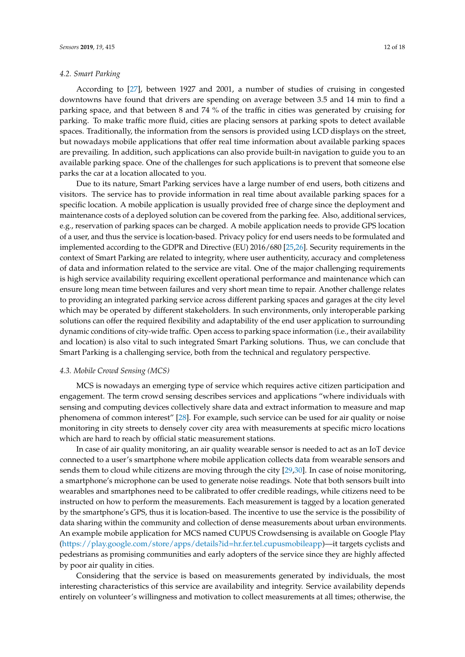### *4.2. Smart Parking*

According to [\[27\]](#page-17-1), between 1927 and 2001, a number of studies of cruising in congested downtowns have found that drivers are spending on average between 3.5 and 14 min to find a parking space, and that between 8 and 74 % of the traffic in cities was generated by cruising for parking. To make traffic more fluid, cities are placing sensors at parking spots to detect available spaces. Traditionally, the information from the sensors is provided using LCD displays on the street, but nowadays mobile applications that offer real time information about available parking spaces are prevailing. In addition, such applications can also provide built-in navigation to guide you to an available parking space. One of the challenges for such applications is to prevent that someone else parks the car at a location allocated to you.

Due to its nature, Smart Parking services have a large number of end users, both citizens and visitors. The service has to provide information in real time about available parking spaces for a specific location. A mobile application is usually provided free of charge since the deployment and maintenance costs of a deployed solution can be covered from the parking fee. Also, additional services, e.g., reservation of parking spaces can be charged. A mobile application needs to provide GPS location of a user, and thus the service is location-based. Privacy policy for end users needs to be formulated and implemented according to the GDPR and Directive (EU) 2016/680 [\[25,](#page-16-19)[26\]](#page-17-0). Security requirements in the context of Smart Parking are related to integrity, where user authenticity, accuracy and completeness of data and information related to the service are vital. One of the major challenging requirements is high service availability requiring excellent operational performance and maintenance which can ensure long mean time between failures and very short mean time to repair. Another challenge relates to providing an integrated parking service across different parking spaces and garages at the city level which may be operated by different stakeholders. In such environments, only interoperable parking solutions can offer the required flexibility and adaptability of the end user application to surrounding dynamic conditions of city-wide traffic. Open access to parking space information (i.e., their availability and location) is also vital to such integrated Smart Parking solutions. Thus, we can conclude that Smart Parking is a challenging service, both from the technical and regulatory perspective.

### *4.3. Mobile Crowd Sensing (MCS)*

MCS is nowadays an emerging type of service which requires active citizen participation and engagement. The term crowd sensing describes services and applications "where individuals with sensing and computing devices collectively share data and extract information to measure and map phenomena of common interest" [\[28\]](#page-17-2). For example, such service can be used for air quality or noise monitoring in city streets to densely cover city area with measurements at specific micro locations which are hard to reach by official static measurement stations.

In case of air quality monitoring, an air quality wearable sensor is needed to act as an IoT device connected to a user's smartphone where mobile application collects data from wearable sensors and sends them to cloud while citizens are moving through the city [\[29,](#page-17-3)[30\]](#page-17-4). In case of noise monitoring, a smartphone's microphone can be used to generate noise readings. Note that both sensors built into wearables and smartphones need to be calibrated to offer credible readings, while citizens need to be instructed on how to perform the measurements. Each measurement is tagged by a location generated by the smartphone's GPS, thus it is location-based. The incentive to use the service is the possibility of data sharing within the community and collection of dense measurements about urban environments. An example mobile application for MCS named CUPUS Crowdsensing is available on Google Play [\(https://play.google.com/store/apps/details?id=hr.fer.tel.cupusmobileapp\)](https://play.google.com/store/apps/details?id=hr.fer.tel.cupusmobileapp)—it targets cyclists and pedestrians as promising communities and early adopters of the service since they are highly affected by poor air quality in cities.

Considering that the service is based on measurements generated by individuals, the most interesting characteristics of this service are availability and integrity. Service availability depends entirely on volunteer's willingness and motivation to collect measurements at all times; otherwise, the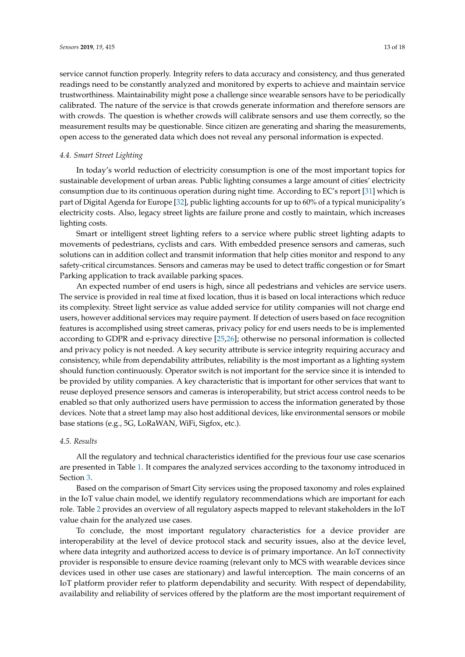service cannot function properly. Integrity refers to data accuracy and consistency, and thus generated readings need to be constantly analyzed and monitored by experts to achieve and maintain service trustworthiness. Maintainability might pose a challenge since wearable sensors have to be periodically calibrated. The nature of the service is that crowds generate information and therefore sensors are with crowds. The question is whether crowds will calibrate sensors and use them correctly, so the measurement results may be questionable. Since citizen are generating and sharing the measurements, open access to the generated data which does not reveal any personal information is expected.

### *4.4. Smart Street Lighting*

In today's world reduction of electricity consumption is one of the most important topics for sustainable development of urban areas. Public lighting consumes a large amount of cities' electricity consumption due to its continuous operation during night time. According to EC's report [\[31\]](#page-17-5) which is part of Digital Agenda for Europe [\[32\]](#page-17-6), public lighting accounts for up to 60% of a typical municipality's electricity costs. Also, legacy street lights are failure prone and costly to maintain, which increases lighting costs.

Smart or intelligent street lighting refers to a service where public street lighting adapts to movements of pedestrians, cyclists and cars. With embedded presence sensors and cameras, such solutions can in addition collect and transmit information that help cities monitor and respond to any safety-critical circumstances. Sensors and cameras may be used to detect traffic congestion or for Smart Parking application to track available parking spaces.

An expected number of end users is high, since all pedestrians and vehicles are service users. The service is provided in real time at fixed location, thus it is based on local interactions which reduce its complexity. Street light service as value added service for utility companies will not charge end users, however additional services may require payment. If detection of users based on face recognition features is accomplished using street cameras, privacy policy for end users needs to be is implemented according to GDPR and e-privacy directive [\[25,](#page-16-19)[26\]](#page-17-0); otherwise no personal information is collected and privacy policy is not needed. A key security attribute is service integrity requiring accuracy and consistency, while from dependability attributes, reliability is the most important as a lighting system should function continuously. Operator switch is not important for the service since it is intended to be provided by utility companies. A key characteristic that is important for other services that want to reuse deployed presence sensors and cameras is interoperability, but strict access control needs to be enabled so that only authorized users have permission to access the information generated by those devices. Note that a street lamp may also host additional devices, like environmental sensors or mobile base stations (e.g., 5G, LoRaWAN, WiFi, Sigfox, etc.).

### *4.5. Results*

All the regulatory and technical characteristics identified for the previous four use case scenarios are presented in Table [1.](#page-13-0) It compares the analyzed services according to the taxonomy introduced in Section [3.](#page-6-0)

Based on the comparison of Smart City services using the proposed taxonomy and roles explained in the IoT value chain model, we identify regulatory recommendations which are important for each role. Table [2](#page-14-0) provides an overview of all regulatory aspects mapped to relevant stakeholders in the IoT value chain for the analyzed use cases.

To conclude, the most important regulatory characteristics for a device provider are interoperability at the level of device protocol stack and security issues, also at the device level, where data integrity and authorized access to device is of primary importance. An IoT connectivity provider is responsible to ensure device roaming (relevant only to MCS with wearable devices since devices used in other use cases are stationary) and lawful interception. The main concerns of an IoT platform provider refer to platform dependability and security. With respect of dependability, availability and reliability of services offered by the platform are the most important requirement of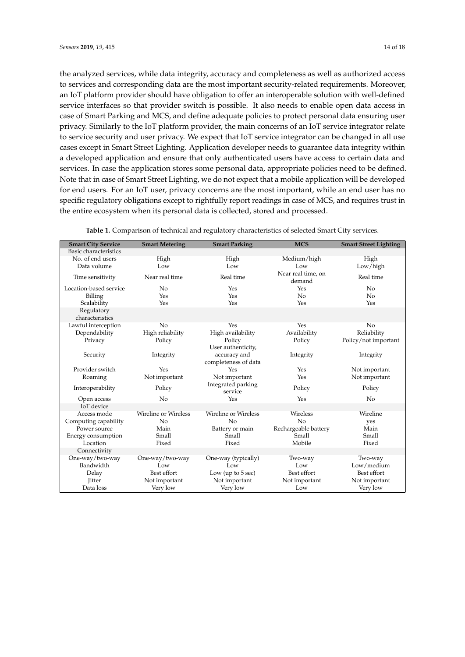the analyzed services, while data integrity, accuracy and completeness as well as authorized access to services and corresponding data are the most important security-related requirements. Moreover, an IoT platform provider should have obligation to offer an interoperable solution with well-defined service interfaces so that provider switch is possible. It also needs to enable open data access in case of Smart Parking and MCS, and define adequate policies to protect personal data ensuring user privacy. Similarly to the IoT platform provider, the main concerns of an IoT service integrator relate to service security and user privacy. We expect that IoT service integrator can be changed in all use cases except in Smart Street Lighting. Application developer needs to guarantee data integrity within a developed application and ensure that only authenticated users have access to certain data and services. In case the application stores some personal data, appropriate policies need to be defined. Note that in case of Smart Street Lighting, we do not expect that a mobile application will be developed for end users. For an IoT user, privacy concerns are the most important, while an end user has no specific regulatory obligations except to rightfully report readings in case of MCS, and requires trust in the entire ecosystem when its personal data is collected, stored and processed.

<span id="page-13-0"></span>

| <b>Smart City Service</b>     | <b>Smart Metering</b> | <b>Smart Parking</b>          | <b>MCS</b>                   | <b>Smart Street Lighting</b> |
|-------------------------------|-----------------------|-------------------------------|------------------------------|------------------------------|
| Basic characteristics         |                       |                               |                              |                              |
| No. of end users              | High                  | High                          | Medium/high                  | High                         |
| Data volume                   | Low                   | Low                           | Low                          | Low/high                     |
| Time sensitivity              | Near real time        | Real time                     | Near real time, on<br>demand | Real time                    |
| Location-based service        | No                    | Yes                           | Yes                          | No                           |
| Billing                       | Yes                   | Yes                           | No                           | No                           |
| Scalability                   | Yes                   | Yes                           | Yes                          | Yes                          |
| Regulatory<br>characteristics |                       |                               |                              |                              |
| Lawful interception           | No.                   | Yes                           | Yes                          | No                           |
| Dependability                 | High reliability      | High availability             | Availability                 | Reliability                  |
| Privacy                       | Policy                | Policy                        | Policy                       | Policy/not important         |
|                               |                       | User authenticity,            |                              |                              |
| Security                      | Integrity             | accuracy and                  | Integrity                    | Integrity                    |
|                               |                       | completeness of data          |                              |                              |
| Provider switch               | Yes                   | Yes                           | Yes                          | Not important                |
| Roaming                       | Not important         | Not important                 | Yes                          | Not important                |
| Interoperability              | Policy                | Integrated parking<br>service | Policy                       | Policy                       |
| Open access                   | No                    | Yes                           | Yes                          | No.                          |
| IoT device                    |                       |                               |                              |                              |
| Access mode                   | Wireline or Wireless  | Wireline or Wireless          | Wireless                     | Wireline                     |
| Computing capability          | No.                   | No                            | No                           | yes                          |
| Power source                  | Main                  | Battery or main               | Rechargeable battery         | Main                         |
| Energy consumption            | Small                 | Small                         | Small                        | Small                        |
| Location                      | Fixed                 | Fixed                         | Mobile                       | Fixed                        |
| Connectivity                  |                       |                               |                              |                              |
| One-way/two-way               | One-way/two-way       | One-way (typically)           | Two-way                      | Two-way                      |
| Bandwidth                     | Low                   | Low                           | Low                          | Low/medium                   |
| Delay                         | Best effort           | Low (up to 5 sec)             | Best effort                  | Best effort                  |
| <b>litter</b>                 | Not important         | Not important                 | Not important                | Not important                |
| Data loss                     | Very low              | Very low                      | Low                          | Very low                     |

**Table 1.** Comparison of technical and regulatory characteristics of selected Smart City services.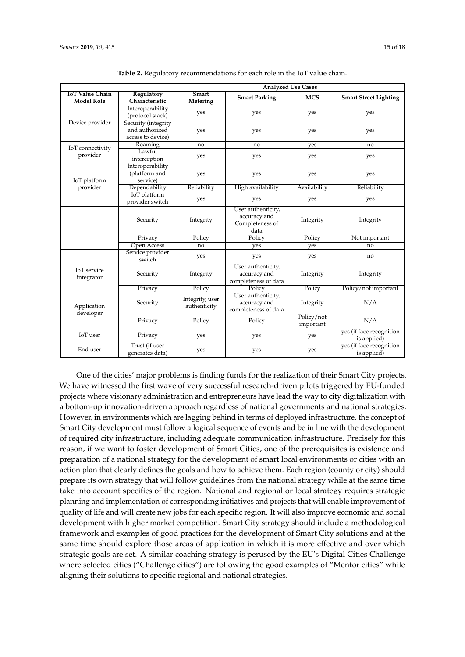|  |  | 10011 |  |
|--|--|-------|--|
|  |  |       |  |
|  |  |       |  |
|  |  |       |  |
|  |  |       |  |
|  |  |       |  |
|  |  |       |  |

<span id="page-14-0"></span>

|                                             |                                                            | <b>Analyzed Use Cases</b>       |                                                               |                         |                                         |
|---------------------------------------------|------------------------------------------------------------|---------------------------------|---------------------------------------------------------------|-------------------------|-----------------------------------------|
| <b>IoT Value Chain</b><br><b>Model Role</b> | Regulatory<br>Characteristic                               | <b>Smart</b><br>Metering        | <b>Smart Parking</b>                                          | <b>MCS</b>              | <b>Smart Street Lighting</b>            |
| Device provider                             | Interoperability<br>(protocol stack)                       | yes                             | yes                                                           | yes                     | yes                                     |
|                                             | Security (integrity<br>and authorized<br>access to device) | yes                             | yes                                                           | yes                     | yes                                     |
| IoT connectivity<br>provider                | Roaming                                                    | no                              | no                                                            | yes                     | no                                      |
|                                             | Lawful<br>interception                                     | yes                             | yes                                                           | yes                     | yes                                     |
| IoT platform                                | Interoperability<br>(platform and<br>service)              | yes                             | yes                                                           | yes                     | yes                                     |
| provider                                    | Dependability                                              | Reliability                     | High availability                                             | Availability            | Reliability                             |
|                                             | IoT platform<br>provider switch                            | yes                             | yes                                                           | yes                     | yes                                     |
|                                             | Security                                                   | Integrity                       | User authenticity,<br>accuracy and<br>Completeness of<br>data | Integrity               | Integrity                               |
|                                             | Privacy                                                    | Policy                          | Policy                                                        | Policy                  | Not important                           |
|                                             | <b>Open Access</b>                                         | no                              | yes                                                           | yes                     | no                                      |
| IoT service<br>integrator                   | Service provider<br>switch                                 | yes                             | yes                                                           | yes                     | no                                      |
|                                             | Security                                                   | Integrity                       | User authenticity,<br>accuracy and<br>completeness of data    | Integrity               | Integrity                               |
|                                             | Privacy                                                    | Policy                          | Policy                                                        | Policy                  | Policy/not important                    |
| Application<br>developer                    | Security                                                   | Integrity, user<br>authenticity | User authenticity,<br>accuracy and<br>completeness of data    | Integrity               | N/A                                     |
|                                             | Privacy                                                    | Policy                          | Policy                                                        | Policy/not<br>important | N/A                                     |
| IoT user                                    | Privacy                                                    | yes                             | yes                                                           | yes                     | yes (if face recognition<br>is applied) |
| End user                                    | Trust (if user<br>generates data)                          | yes                             | yes                                                           | yes                     | yes (if face recognition<br>is applied) |

**Table 2.** Regulatory recommendations for each role in the IoT value chain.

One of the cities' major problems is finding funds for the realization of their Smart City projects. We have witnessed the first wave of very successful research-driven pilots triggered by EU-funded projects where visionary administration and entrepreneurs have lead the way to city digitalization with a bottom-up innovation-driven approach regardless of national governments and national strategies. However, in environments which are lagging behind in terms of deployed infrastructure, the concept of Smart City development must follow a logical sequence of events and be in line with the development of required city infrastructure, including adequate communication infrastructure. Precisely for this reason, if we want to foster development of Smart Cities, one of the prerequisites is existence and preparation of a national strategy for the development of smart local environments or cities with an action plan that clearly defines the goals and how to achieve them. Each region (county or city) should prepare its own strategy that will follow guidelines from the national strategy while at the same time take into account specifics of the region. National and regional or local strategy requires strategic planning and implementation of corresponding initiatives and projects that will enable improvement of quality of life and will create new jobs for each specific region. It will also improve economic and social development with higher market competition. Smart City strategy should include a methodological framework and examples of good practices for the development of Smart City solutions and at the same time should explore those areas of application in which it is more effective and over which strategic goals are set. A similar coaching strategy is perused by the EU's Digital Cities Challenge where selected cities ("Challenge cities") are following the good examples of "Mentor cities" while aligning their solutions to specific regional and national strategies.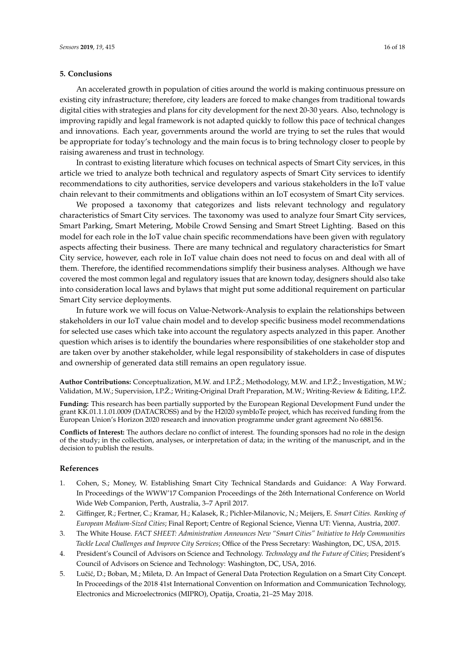### **5. Conclusions**

An accelerated growth in population of cities around the world is making continuous pressure on existing city infrastructure; therefore, city leaders are forced to make changes from traditional towards digital cities with strategies and plans for city development for the next 20-30 years. Also, technology is improving rapidly and legal framework is not adapted quickly to follow this pace of technical changes and innovations. Each year, governments around the world are trying to set the rules that would be appropriate for today's technology and the main focus is to bring technology closer to people by raising awareness and trust in technology.

In contrast to existing literature which focuses on technical aspects of Smart City services, in this article we tried to analyze both technical and regulatory aspects of Smart City services to identify recommendations to city authorities, service developers and various stakeholders in the IoT value chain relevant to their commitments and obligations within an IoT ecosystem of Smart City services.

We proposed a taxonomy that categorizes and lists relevant technology and regulatory characteristics of Smart City services. The taxonomy was used to analyze four Smart City services, Smart Parking, Smart Metering, Mobile Crowd Sensing and Smart Street Lighting. Based on this model for each role in the IoT value chain specific recommendations have been given with regulatory aspects affecting their business. There are many technical and regulatory characteristics for Smart City service, however, each role in IoT value chain does not need to focus on and deal with all of them. Therefore, the identified recommendations simplify their business analyses. Although we have covered the most common legal and regulatory issues that are known today, designers should also take into consideration local laws and bylaws that might put some additional requirement on particular Smart City service deployments.

In future work we will focus on Value-Network-Analysis to explain the relationships between stakeholders in our IoT value chain model and to develop specific business model recommendations for selected use cases which take into account the regulatory aspects analyzed in this paper. Another question which arises is to identify the boundaries where responsibilities of one stakeholder stop and are taken over by another stakeholder, while legal responsibility of stakeholders in case of disputes and ownership of generated data still remains an open regulatory issue.

**Author Contributions:** Conceptualization, M.W. and I.P.Ž.; Methodology, M.W. and I.P.Ž.; Investigation, M.W.; Validation, M.W.; Supervision, I.P.Ž.; Writing-Original Draft Preparation, M.W.; Writing-Review & Editing, I.P.Ž.

**Funding:** This research has been partially supported by the European Regional Development Fund under the grant KK.01.1.1.01.0009 (DATACROSS) and by the H2020 symbIoTe project, which has received funding from the European Union's Horizon 2020 research and innovation programme under grant agreement No 688156.

**Conflicts of Interest:** The authors declare no conflict of interest. The founding sponsors had no role in the design of the study; in the collection, analyses, or interpretation of data; in the writing of the manuscript, and in the decision to publish the results.

### **References**

- <span id="page-15-0"></span>1. Cohen, S.; Money, W. Establishing Smart City Technical Standards and Guidance: A Way Forward. In Proceedings of the WWW'17 Companion Proceedings of the 26th International Conference on World Wide Web Companion, Perth, Australia, 3–7 April 2017.
- <span id="page-15-1"></span>2. Giffinger, R.; Fertner, C.; Kramar, H.; Kalasek, R.; Pichler-Milanovic, N.; Meijers, E. *Smart Cities. Ranking of European Medium-Sized Cities*; Final Report; Centre of Regional Science, Vienna UT: Vienna, Austria, 2007.
- <span id="page-15-2"></span>3. The White House. *FACT SHEET: Administration Announces New "Smart Cities" Initiative to Help Communities Tackle Local Challenges and Improve City Services*; Office of the Press Secretary: Washington, DC, USA, 2015.
- <span id="page-15-3"></span>4. President's Council of Advisors on Science and Technology. *Technology and the Future of Cities*; President's Council of Advisors on Science and Technology: Washington, DC, USA, 2016.
- <span id="page-15-4"></span>5. Lučić, D.; Boban, M.; Mileta, D. An Impact of General Data Protection Regulation on a Smart City Concept. In Proceedings of the 2018 41st International Convention on Information and Communication Technology, Electronics and Microelectronics (MIPRO), Opatija, Croatia, 21–25 May 2018.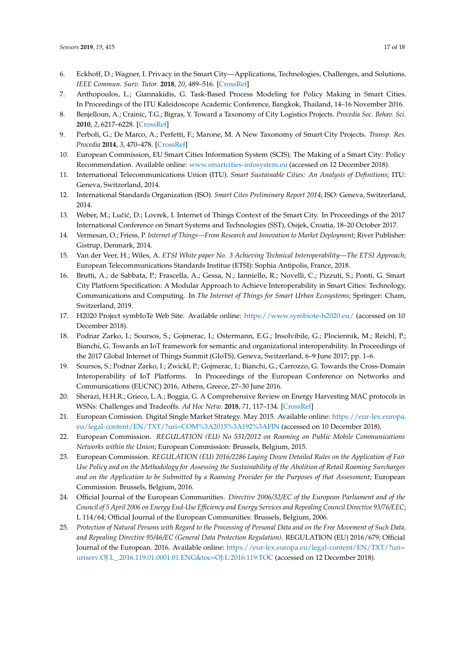- <span id="page-16-0"></span>6. Eckhoff, D.; Wagner, I. Privacy in the Smart City—Applications, Technologies, Challenges, and Solutions. *IEEE Commun. Surv. Tutor.* **2018**, *20*, 489–516. [\[CrossRef\]](http://dx.doi.org/10.1109/COMST.2017.2748998)
- <span id="page-16-1"></span>7. Anthopoulos, L.; Giannakidis, G. Task-Based Process Modeling for Policy Making in Smart Cities. In Proceedings of the ITU Kaleidoscope Academic Conference, Bangkok, Thailand, 14–16 November 2016.
- <span id="page-16-2"></span>8. Benjelloun, A.; Crainic, T.G.; Bigras, Y. Toward a Taxonomy of City Logistics Projects. *Procedia Soc. Behav. Sci.* **2010**, *2*, 6217–6228. [\[CrossRef\]](http://dx.doi.org/10.1016/j.sbspro.2010.04.032)
- <span id="page-16-3"></span>9. Perboli, G.; De Marco, A.; Perfetti, F.; Marone, M. A New Taxonomy of Smart City Projects. *Transp. Res. Procedia* **2014**, *3*, 470–478. [\[CrossRef\]](http://dx.doi.org/10.1016/j.trpro.2014.10.028)
- <span id="page-16-4"></span>10. European Commission, EU Smart Cities Information System (SCIS). The Making of a Smart City: Policy Recommendation. Available online: <www.smartcities-infosystem.eu> (accessed on 12 December 2018).
- <span id="page-16-5"></span>11. International Telecommunications Union (ITU). *Smart Sustainable Cities: An Analysis of Definitions*; ITU: Geneva, Switzerland, 2014.
- <span id="page-16-6"></span>12. International Standards Organization (ISO). *Smart Cites Preliminary Report 2014*; ISO: Geneva, Switzerland, 2014.
- <span id="page-16-7"></span>13. Weber, M.; Lučić, D.; Lovrek, I. Internet of Things Context of the Smart City. In Proceedings of the 2017 International Conference on Smart Systems and Technologies (SST), Osijek, Croatia, 18–20 October 2017.
- <span id="page-16-8"></span>14. Vermesan, O.; Friess, P. *Internet of Things—From Research and Innovation to Market Deployment*; River Publisher: Gistrup, Denmark, 2014.
- <span id="page-16-9"></span>15. Van der Veer, H.; Wiles, A. *ETSI White paper No. 3 Achieving Technical Interoperability—The ETSI Approach*; European Telecommunications Standards Institue (ETSI): Sophia Antipolis, France, 2018.
- <span id="page-16-10"></span>16. Brutti, A.; de Sabbata, P.; Frascella, A.; Gessa, N.; Ianniello, R.; Novelli, C.; Pizzuti, S.; Ponti, G. Smart City Platform Specification: A Modular Approach to Achieve Interoperability in Smart Cities: Technology, Communications and Computing. In *The Internet of Things for Smart Urban Ecosystems*; Springer: Cham, Switzerland, 2019.
- <span id="page-16-11"></span>17. H2020 Project symbIoTe Web Site. Available online: <https://www.symbiote-h2020.eu/> (accessed on 10 December 2018).
- <span id="page-16-12"></span>18. Podnar Zarko, I.; Soursos, S.; Gojmerac, I.; Ostermann, E.G.; Insolvibile, G.; Plociennik, M.; Reichl, P.; Bianchi, G. Towards an IoT framework for semantic and organizational interoperability. In Proceedings of the 2017 Global Internet of Things Summit (GIoTS), Geneva, Switzerland, 6–9 June 2017; pp. 1–6.
- <span id="page-16-13"></span>19. Soursos, S.; Podnar Zarko, I.; Zwickl, P.; Gojmerac, I.; Bianchi, G.; Carrozzo, G. Towards the Cross-Domain Interoperability of IoT Platforms. In Proceedings of the European Conference on Networks and Communications (EUCNC) 2016, Athens, Greece, 27–30 June 2016.
- <span id="page-16-14"></span>20. Sherazi, H.H.R.; Grieco, L.A.; Boggia, G. A Comprehensive Review on Energy Harvesting MAC protocols in WSNs: Challenges and Tradeoffs. *Ad Hoc Netw.* **2018**, *71*, 117–134. [\[CrossRef\]](http://dx.doi.org/10.1016/j.adhoc.2018.01.004)
- <span id="page-16-15"></span>21. European Comission. Digital Single Market Strategy. May 2015. Available online: [https://eur-lex.europa.](https://eur-lex.europa.eu/legal-content/EN/TXT/?uri=COM%3A2015%3A192%3AFIN) [eu/legal-content/EN/TXT/?uri=COM%3A2015%3A192%3AFIN](https://eur-lex.europa.eu/legal-content/EN/TXT/?uri=COM%3A2015%3A192%3AFIN) (accessed on 10 December 2018).
- <span id="page-16-16"></span>22. European Commission. *REGULATION (EU) No 531/2012 on Roaming on Public Mobile Communications Networks within the Union*; European Commission: Brussels, Belgium, 2015.
- <span id="page-16-17"></span>23. European Commission. *REGULATION (EU) 2016/2286 Laying Down Detailed Rules on the Application of Fair Use Policy and on the Methodology for Assessing the Sustainability of the Abolition of Retail Roaming Surcharges and on the Application to be Submitted by a Roaming Provider for the Purposes of that Assessment*; European Commission: Brussels, Belgium, 2016.
- <span id="page-16-18"></span>24. Official Journal of the European Communities. *Directive 2006/32/EC of the European Parliament and of the Council of 5 April 2006 on Energy End-Use Efficiency and Energy Services and Repealing Council Directive 93/76/EEC*; L 114/64; Official Journal of the European Communities: Brussels, Belgium, 2006.
- <span id="page-16-19"></span>25. *Protection of Natural Persons with Regard to the Processing of Personal Data and on the Free Movement of Such Data, and Repealing Directive 95/46/EC (General Data Protection Regulation)*. REGULATION (EU) 2016/679; Official Journal of the European. 2016. Available online: [https://eur-lex.europa.eu/legal-content/EN/TXT/?uri=](https://eur-lex.europa.eu/legal-content/EN/TXT/?uri=uriserv:OJ.L_.2016.119.01.0001.01.ENG&toc=OJ:L:2016:119:TOC) [uriserv:OJ.L\\_.2016.119.01.0001.01.ENG&toc=OJ:L:2016:119:TOC](https://eur-lex.europa.eu/legal-content/EN/TXT/?uri=uriserv:OJ.L_.2016.119.01.0001.01.ENG&toc=OJ:L:2016:119:TOC) (accessed on 12 December 2018).